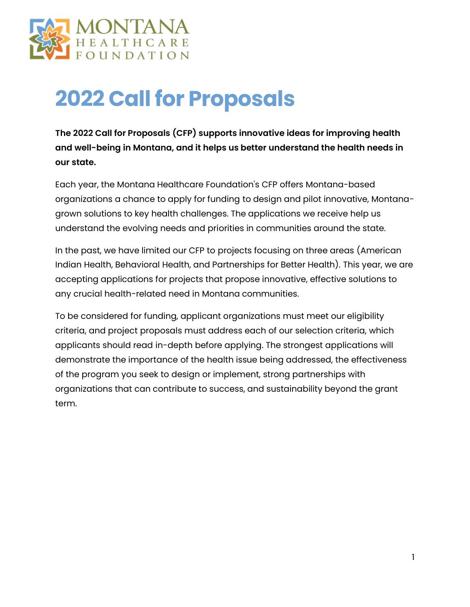

# **2022 Call for Proposals**

**The 2022 Call for Proposals (CFP) supports innovative ideas for improving health and well-being in Montana, and it helps us better understand the health needs in our state.** 

Each year, the Montana Healthcare Foundation's CFP offers Montana-based organizations a chance to apply for funding to design and pilot innovative, Montanagrown solutions to key health challenges. The applications we receive help us understand the evolving needs and priorities in communities around the state.

In the past, we have limited our CFP to projects focusing on three areas (American Indian Health, Behavioral Health, and Partnerships for Better Health). This year, we are accepting applications for projects that propose innovative, effective solutions to any crucial health-related need in Montana communities.

To be considered for funding, applicant organizations must meet our eligibility criteria, and project proposals must address each of our selection criteria, which applicants should read in-depth before applying. The strongest applications will demonstrate the importance of the health issue being addressed, the effectiveness of the program you seek to design or implement, strong partnerships with organizations that can contribute to success, and sustainability beyond the grant term.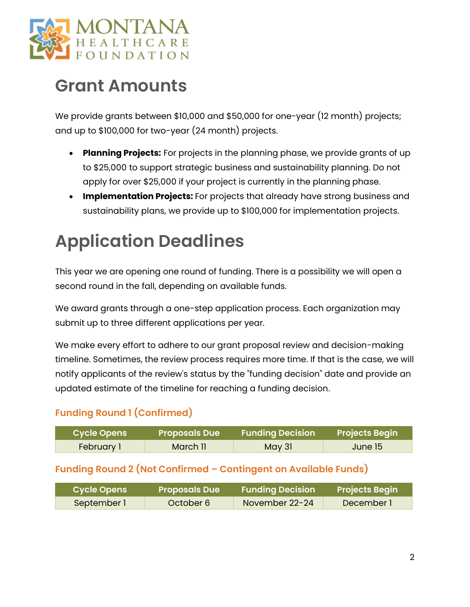

### **Grant Amounts**

We provide grants between \$10,000 and \$50,000 for one-year (12 month) projects; and up to \$100,000 for two-year (24 month) projects.

- **Planning Projects:** For projects in the planning phase, we provide grants of up to \$25,000 to support strategic business and sustainability planning. Do not apply for over \$25,000 if your project is currently in the planning phase.
- **Implementation Projects:** For projects that already have strong business and sustainability plans, we provide up to \$100,000 for implementation projects.

# **Application Deadlines**

This year we are opening one round of funding. There is a possibility we will open a second round in the fall, depending on available funds.

We award grants through a one-step application process. Each organization may submit up to three different applications per year.

We make every effort to adhere to our grant proposal review and decision-making timeline. Sometimes, the review process requires more time. If that is the case, we will notify applicants of the review's status by the "funding decision" date and provide an updated estimate of the timeline for reaching a funding decision.

#### **Funding Round 1 (Confirmed)**

| <b>Cycle Opens</b> | <b>Proposals Due</b> | <b>Funding Decision</b> | <b>Projects Begin</b> |
|--------------------|----------------------|-------------------------|-----------------------|
| <b>February 1</b>  | March II             | <b>May 31</b>           | June 15               |

#### **Funding Round 2 (Not Confirmed – Contingent on Available Funds)**

| Cycle Opens | <b>Proposals Due</b> | <b>Funding Decision</b> | <b>Projects Begin</b> |
|-------------|----------------------|-------------------------|-----------------------|
| September 1 | October 6            | November 22-24          | December 1            |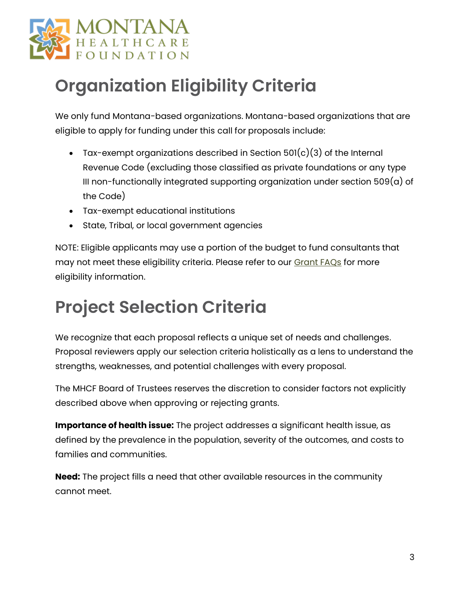

# **Organization Eligibility Criteria**

We only fund Montana-based organizations. Montana-based organizations that are eligible to apply for funding under this call for proposals include:

- Tax-exempt organizations described in Section  $501(c)(3)$  of the Internal Revenue Code (excluding those classified as private foundations or any type III non-functionally integrated supporting organization under section 509(a) of the Code)
- Tax-exempt educational institutions
- State, Tribal, or local government agencies

NOTE: Eligible applicants may use a portion of the budget to fund consultants that may not meet these eligibility criteria. Please refer to our [Grant FAQs](https://mthcf.org/grantee-faqs/) for more eligibility information.

# **Project Selection Criteria**

We recognize that each proposal reflects a unique set of needs and challenges. Proposal reviewers apply our selection criteria holistically as a lens to understand the strengths, weaknesses, and potential challenges with every proposal.

The MHCF Board of Trustees reserves the discretion to consider factors not explicitly described above when approving or rejecting grants.

**Importance of health issue:** The project addresses a significant health issue, as defined by the prevalence in the population, severity of the outcomes, and costs to families and communities.

**Need:** The project fills a need that other available resources in the community cannot meet.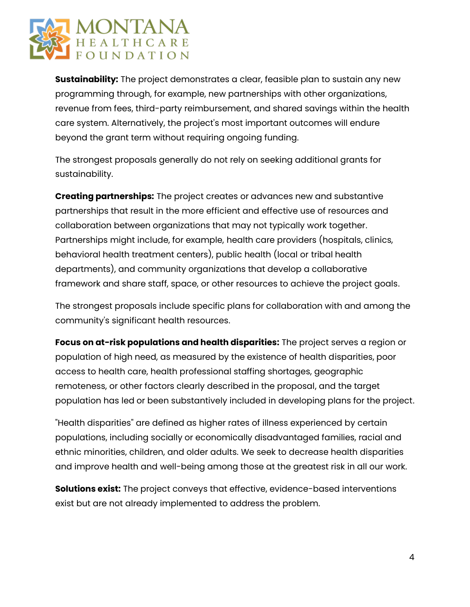

**Sustainability:** The project demonstrates a clear, feasible plan to sustain any new programming through, for example, new partnerships with other organizations, revenue from fees, third-party reimbursement, and shared savings within the health care system. Alternatively, the project's most important outcomes will endure beyond the grant term without requiring ongoing funding.

The strongest proposals generally do not rely on seeking additional grants for sustainability.

**Creating partnerships:** The project creates or advances new and substantive partnerships that result in the more efficient and effective use of resources and collaboration between organizations that may not typically work together. Partnerships might include, for example, health care providers (hospitals, clinics, behavioral health treatment centers), public health (local or tribal health departments), and community organizations that develop a collaborative framework and share staff, space, or other resources to achieve the project goals.

The strongest proposals include specific plans for collaboration with and among the community's significant health resources.

**Focus on at-risk populations and health disparities:** The project serves a region or population of high need, as measured by the existence of health disparities, poor access to health care, health professional staffing shortages, geographic remoteness, or other factors clearly described in the proposal, and the target population has led or been substantively included in developing plans for the project.

"Health disparities" are defined as higher rates of illness experienced by certain populations, including socially or economically disadvantaged families, racial and ethnic minorities, children, and older adults. We seek to decrease health disparities and improve health and well-being among those at the greatest risk in all our work.

**Solutions exist:** The project conveys that effective, evidence-based interventions exist but are not already implemented to address the problem.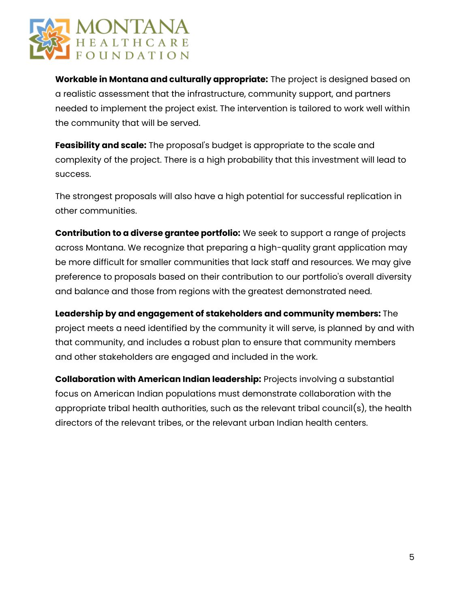

**Workable in Montana and culturally appropriate:** The project is designed based on a realistic assessment that the infrastructure, community support, and partners needed to implement the project exist. The intervention is tailored to work well within the community that will be served.

**Feasibility and scale:** The proposal's budget is appropriate to the scale and complexity of the project. There is a high probability that this investment will lead to success.

The strongest proposals will also have a high potential for successful replication in other communities.

**Contribution to a diverse grantee portfolio:** We seek to support a range of projects across Montana. We recognize that preparing a high-quality grant application may be more difficult for smaller communities that lack staff and resources. We may give preference to proposals based on their contribution to our portfolio's overall diversity and balance and those from regions with the greatest demonstrated need.

**Leadership by and engagement of stakeholders and community members:** The project meets a need identified by the community it will serve, is planned by and with that community, and includes a robust plan to ensure that community members and other stakeholders are engaged and included in the work.

**Collaboration with American Indian leadership:** Projects involving a substantial focus on American Indian populations must demonstrate collaboration with the appropriate tribal health authorities, such as the relevant tribal council(s), the health directors of the relevant tribes, or the relevant urban Indian health centers.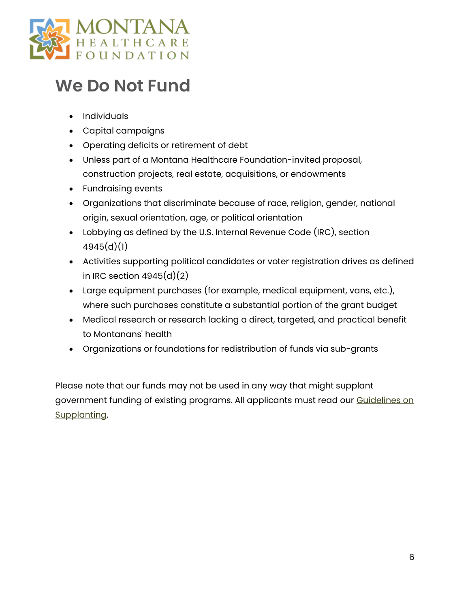

### **We Do Not Fund**

- Individuals
- Capital campaigns
- Operating deficits or retirement of debt
- Unless part of a Montana Healthcare Foundation-invited proposal, construction projects, real estate, acquisitions, or endowments
- Fundraising events
- Organizations that discriminate because of race, religion, gender, national origin, sexual orientation, age, or political orientation
- Lobbying as defined by the U.S. Internal Revenue Code (IRC), section 4945(d)(1)
- Activities supporting political candidates or voter registration drives as defined in IRC section  $4945(d)(2)$
- Large equipment purchases (for example, medical equipment, vans, etc.), where such purchases constitute a substantial portion of the grant budget
- Medical research or research lacking a direct, targeted, and practical benefit to Montanans' health
- Organizations or foundations for redistribution of funds via sub-grants

Please note that our funds may not be used in any way that might supplant government funding of existing programs. All applicants must read our [Guidelines on](https://mthcf.org/wp-content/uploads/2018/01/Guidelines-on-Supplanting.pdf)  [Supplanting.](https://mthcf.org/wp-content/uploads/2018/01/Guidelines-on-Supplanting.pdf)